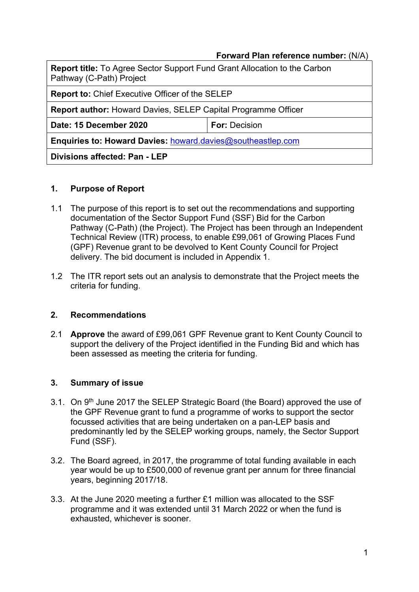### Forward Plan reference number: (N/A)

| <b>Report title:</b> To Agree Sector Support Fund Grant Allocation to the Carbon<br>Pathway (C-Path) Project |                      |  |
|--------------------------------------------------------------------------------------------------------------|----------------------|--|
| <b>Report to: Chief Executive Officer of the SELEP</b>                                                       |                      |  |
| <b>Report author:</b> Howard Davies, SELEP Capital Programme Officer                                         |                      |  |
| Date: 15 December 2020                                                                                       | <b>For: Decision</b> |  |
| <b>Enquiries to: Howard Davies: howard davies@southeastlep.com</b>                                           |                      |  |
| Divisions affected: Pan - LEP                                                                                |                      |  |

### 1. Purpose of Report

- 1.1 The purpose of this report is to set out the recommendations and supporting documentation of the Sector Support Fund (SSF) Bid for the Carbon Pathway (C-Path) (the Project). The Project has been through an Independent Technical Review (ITR) process, to enable £99,061 of Growing Places Fund (GPF) Revenue grant to be devolved to Kent County Council for Project delivery. The bid document is included in Appendix 1.
- 1.2 The ITR report sets out an analysis to demonstrate that the Project meets the criteria for funding.

### 2. Recommendations

2.1 Approve the award of £99,061 GPF Revenue grant to Kent County Council to support the delivery of the Project identified in the Funding Bid and which has been assessed as meeting the criteria for funding.

### 3. Summary of issue

- 3.1. On 9<sup>th</sup> June 2017 the SELEP Strategic Board (the Board) approved the use of the GPF Revenue grant to fund a programme of works to support the sector focussed activities that are being undertaken on a pan-LEP basis and predominantly led by the SELEP working groups, namely, the Sector Support Fund (SSF).
- 3.2. The Board agreed, in 2017, the programme of total funding available in each year would be up to £500,000 of revenue grant per annum for three financial years, beginning 2017/18.
- 3.3. At the June 2020 meeting a further £1 million was allocated to the SSF programme and it was extended until 31 March 2022 or when the fund is exhausted, whichever is sooner.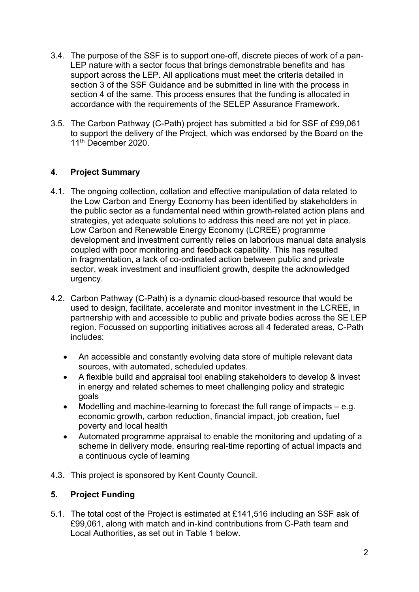- 3.4. The purpose of the SSF is to support one-off, discrete pieces of work of a pan-LEP nature with a sector focus that brings demonstrable benefits and has support across the LEP. All applications must meet the criteria detailed in section 3 of the SSF Guidance and be submitted in line with the process in section 4 of the same. This process ensures that the funding is allocated in accordance with the requirements of the SELEP Assurance Framework.
- 3.5. The Carbon Pathway (C-Path) project has submitted a bid for SSF of £99,061 to support the delivery of the Project, which was endorsed by the Board on the 11<sup>th</sup> December 2020.

## 4. Project Summary

- 4.1. The ongoing collection, collation and effective manipulation of data related to the Low Carbon and Energy Economy has been identified by stakeholders in the public sector as a fundamental need within growth-related action plans and strategies, yet adequate solutions to address this need are not yet in place. Low Carbon and Renewable Energy Economy (LCREE) programme development and investment currently relies on laborious manual data analysis coupled with poor monitoring and feedback capability. This has resulted in fragmentation, a lack of co-ordinated action between public and private sector, weak investment and insufficient growth, despite the acknowledged urgency.
- 4.2. Carbon Pathway (C-Path) is a dynamic cloud-based resource that would be used to design, facilitate, accelerate and monitor investment in the LCREE, in partnership with and accessible to public and private bodies across the SE LEP region. Focussed on supporting initiatives across all 4 federated areas, C-Path includes:
	- An accessible and constantly evolving data store of multiple relevant data sources, with automated, scheduled updates.
	- A flexible build and appraisal tool enabling stakeholders to develop & invest in energy and related schemes to meet challenging policy and strategic goals
	- $\bullet$  Modelling and machine-learning to forecast the full range of impacts  $-$  e.g. economic growth, carbon reduction, financial impact, job creation, fuel poverty and local health
	- Automated programme appraisal to enable the monitoring and updating of a scheme in delivery mode, ensuring real-time reporting of actual impacts and a continuous cycle of learning
- 4.3. This project is sponsored by Kent County Council.

## 5. Project Funding

5.1. The total cost of the Project is estimated at £141,516 including an SSF ask of £99,061, along with match and in-kind contributions from C-Path team and Local Authorities, as set out in Table 1 below.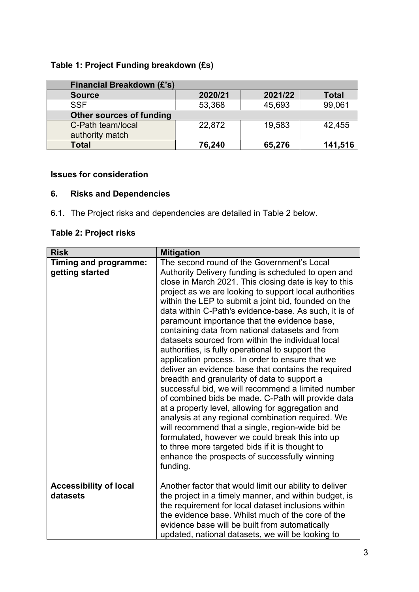# Table 1: Project Funding breakdown (£s)

| <b>Financial Breakdown (£'s)</b>     |         |         |              |
|--------------------------------------|---------|---------|--------------|
| <b>Source</b>                        | 2020/21 | 2021/22 | <b>Total</b> |
| <b>SSF</b>                           | 53,368  | 45,693  | 99,061       |
| <b>Other sources of funding</b>      |         |         |              |
| C-Path team/local<br>authority match | 22,872  | 19,583  | 42,455       |
| <b>Total</b>                         | 76,240  | 65,276  | 141,516      |

### Issues for consideration

# 6. Risks and Dependencies

6.1. The Project risks and dependencies are detailed in Table 2 below.

# Table 2: Project risks

| <b>Risk</b>                               | <b>Mitigation</b>                                                                                                                                                                                                                                                                                                                                                                                                                                                                                                                                                                                                                                                                                                                                                                                                                                                                                                                                                                                                                                                                                                                                        |
|-------------------------------------------|----------------------------------------------------------------------------------------------------------------------------------------------------------------------------------------------------------------------------------------------------------------------------------------------------------------------------------------------------------------------------------------------------------------------------------------------------------------------------------------------------------------------------------------------------------------------------------------------------------------------------------------------------------------------------------------------------------------------------------------------------------------------------------------------------------------------------------------------------------------------------------------------------------------------------------------------------------------------------------------------------------------------------------------------------------------------------------------------------------------------------------------------------------|
| Timing and programme:<br>getting started  | The second round of the Government's Local<br>Authority Delivery funding is scheduled to open and<br>close in March 2021. This closing date is key to this<br>project as we are looking to support local authorities<br>within the LEP to submit a joint bid, founded on the<br>data within C-Path's evidence-base. As such, it is of<br>paramount importance that the evidence base,<br>containing data from national datasets and from<br>datasets sourced from within the individual local<br>authorities, is fully operational to support the<br>application process. In order to ensure that we<br>deliver an evidence base that contains the required<br>breadth and granularity of data to support a<br>successful bid, we will recommend a limited number<br>of combined bids be made. C-Path will provide data<br>at a property level, allowing for aggregation and<br>analysis at any regional combination required. We<br>will recommend that a single, region-wide bid be<br>formulated, however we could break this into up<br>to three more targeted bids if it is thought to<br>enhance the prospects of successfully winning<br>funding. |
| <b>Accessibility of local</b><br>datasets | Another factor that would limit our ability to deliver<br>the project in a timely manner, and within budget, is<br>the requirement for local dataset inclusions within<br>the evidence base. Whilst much of the core of the<br>evidence base will be built from automatically<br>updated, national datasets, we will be looking to                                                                                                                                                                                                                                                                                                                                                                                                                                                                                                                                                                                                                                                                                                                                                                                                                       |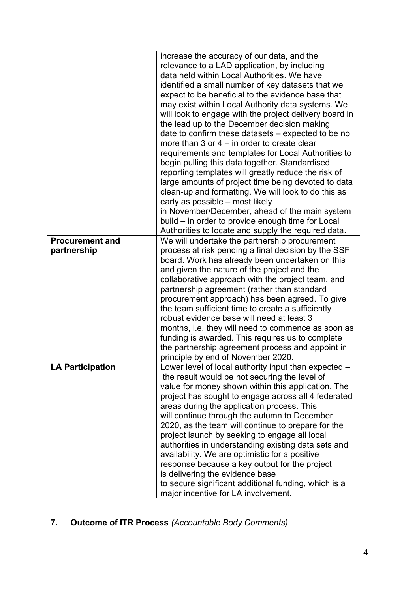| increase the accuracy of our data, and the<br>relevance to a LAD application, by including<br>data held within Local Authorities. We have<br>identified a small number of key datasets that we<br>expect to be beneficial to the evidence base that<br>may exist within Local Authority data systems. We<br>will look to engage with the project delivery board in<br>the lead up to the December decision making<br>date to confirm these datasets – expected to be no<br>more than 3 or $4 -$ in order to create clear<br>requirements and templates for Local Authorities to<br>begin pulling this data together. Standardised |
|-----------------------------------------------------------------------------------------------------------------------------------------------------------------------------------------------------------------------------------------------------------------------------------------------------------------------------------------------------------------------------------------------------------------------------------------------------------------------------------------------------------------------------------------------------------------------------------------------------------------------------------|
|                                                                                                                                                                                                                                                                                                                                                                                                                                                                                                                                                                                                                                   |
|                                                                                                                                                                                                                                                                                                                                                                                                                                                                                                                                                                                                                                   |
|                                                                                                                                                                                                                                                                                                                                                                                                                                                                                                                                                                                                                                   |
|                                                                                                                                                                                                                                                                                                                                                                                                                                                                                                                                                                                                                                   |
|                                                                                                                                                                                                                                                                                                                                                                                                                                                                                                                                                                                                                                   |
|                                                                                                                                                                                                                                                                                                                                                                                                                                                                                                                                                                                                                                   |
|                                                                                                                                                                                                                                                                                                                                                                                                                                                                                                                                                                                                                                   |
|                                                                                                                                                                                                                                                                                                                                                                                                                                                                                                                                                                                                                                   |
|                                                                                                                                                                                                                                                                                                                                                                                                                                                                                                                                                                                                                                   |
|                                                                                                                                                                                                                                                                                                                                                                                                                                                                                                                                                                                                                                   |
|                                                                                                                                                                                                                                                                                                                                                                                                                                                                                                                                                                                                                                   |
|                                                                                                                                                                                                                                                                                                                                                                                                                                                                                                                                                                                                                                   |
| reporting templates will greatly reduce the risk of                                                                                                                                                                                                                                                                                                                                                                                                                                                                                                                                                                               |
| large amounts of project time being devoted to data                                                                                                                                                                                                                                                                                                                                                                                                                                                                                                                                                                               |
| clean-up and formatting. We will look to do this as                                                                                                                                                                                                                                                                                                                                                                                                                                                                                                                                                                               |
| early as possible - most likely                                                                                                                                                                                                                                                                                                                                                                                                                                                                                                                                                                                                   |
| in November/December, ahead of the main system                                                                                                                                                                                                                                                                                                                                                                                                                                                                                                                                                                                    |
| build – in order to provide enough time for Local                                                                                                                                                                                                                                                                                                                                                                                                                                                                                                                                                                                 |
| Authorities to locate and supply the required data.                                                                                                                                                                                                                                                                                                                                                                                                                                                                                                                                                                               |
| We will undertake the partnership procurement<br><b>Procurement and</b>                                                                                                                                                                                                                                                                                                                                                                                                                                                                                                                                                           |
| process at risk pending a final decision by the SSF<br>partnership                                                                                                                                                                                                                                                                                                                                                                                                                                                                                                                                                                |
| board. Work has already been undertaken on this                                                                                                                                                                                                                                                                                                                                                                                                                                                                                                                                                                                   |
| and given the nature of the project and the                                                                                                                                                                                                                                                                                                                                                                                                                                                                                                                                                                                       |
| collaborative approach with the project team, and                                                                                                                                                                                                                                                                                                                                                                                                                                                                                                                                                                                 |
| partnership agreement (rather than standard                                                                                                                                                                                                                                                                                                                                                                                                                                                                                                                                                                                       |
| procurement approach) has been agreed. To give                                                                                                                                                                                                                                                                                                                                                                                                                                                                                                                                                                                    |
| the team sufficient time to create a sufficiently                                                                                                                                                                                                                                                                                                                                                                                                                                                                                                                                                                                 |
| robust evidence base will need at least 3                                                                                                                                                                                                                                                                                                                                                                                                                                                                                                                                                                                         |
| months, i.e. they will need to commence as soon as                                                                                                                                                                                                                                                                                                                                                                                                                                                                                                                                                                                |
| funding is awarded. This requires us to complete                                                                                                                                                                                                                                                                                                                                                                                                                                                                                                                                                                                  |
| the partnership agreement process and appoint in                                                                                                                                                                                                                                                                                                                                                                                                                                                                                                                                                                                  |
| principle by end of November 2020.                                                                                                                                                                                                                                                                                                                                                                                                                                                                                                                                                                                                |
| <b>LA Participation</b><br>Lower level of local authority input than expected $-$                                                                                                                                                                                                                                                                                                                                                                                                                                                                                                                                                 |
| the result would be not securing the level of                                                                                                                                                                                                                                                                                                                                                                                                                                                                                                                                                                                     |
| value for money shown within this application. The                                                                                                                                                                                                                                                                                                                                                                                                                                                                                                                                                                                |
| project has sought to engage across all 4 federated                                                                                                                                                                                                                                                                                                                                                                                                                                                                                                                                                                               |
| areas during the application process. This                                                                                                                                                                                                                                                                                                                                                                                                                                                                                                                                                                                        |
| will continue through the autumn to December                                                                                                                                                                                                                                                                                                                                                                                                                                                                                                                                                                                      |
| 2020, as the team will continue to prepare for the                                                                                                                                                                                                                                                                                                                                                                                                                                                                                                                                                                                |
| project launch by seeking to engage all local                                                                                                                                                                                                                                                                                                                                                                                                                                                                                                                                                                                     |
| authorities in understanding existing data sets and                                                                                                                                                                                                                                                                                                                                                                                                                                                                                                                                                                               |
| availability. We are optimistic for a positive                                                                                                                                                                                                                                                                                                                                                                                                                                                                                                                                                                                    |
| response because a key output for the project                                                                                                                                                                                                                                                                                                                                                                                                                                                                                                                                                                                     |
| is delivering the evidence base                                                                                                                                                                                                                                                                                                                                                                                                                                                                                                                                                                                                   |
| to secure significant additional funding, which is a                                                                                                                                                                                                                                                                                                                                                                                                                                                                                                                                                                              |
| major incentive for LA involvement.                                                                                                                                                                                                                                                                                                                                                                                                                                                                                                                                                                                               |

7. Outcome of ITR Process (Accountable Body Comments)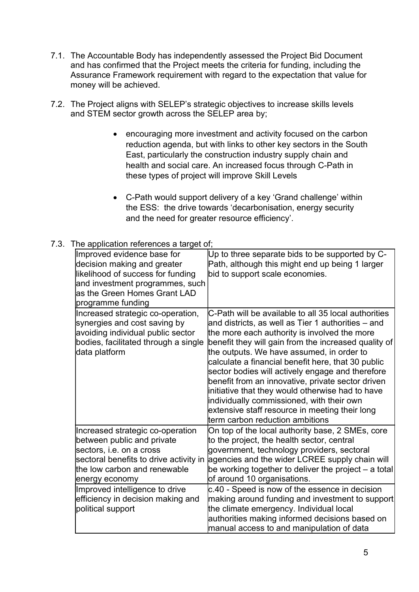- 7.1. The Accountable Body has independently assessed the Project Bid Document and has confirmed that the Project meets the criteria for funding, including the Assurance Framework requirement with regard to the expectation that value for money will be achieved.
- 7.2. The Project aligns with SELEP's strategic objectives to increase skills levels and STEM sector growth across the SELEP area by;
	- encouraging more investment and activity focused on the carbon reduction agenda, but with links to other key sectors in the South East, particularly the construction industry supply chain and health and social care. An increased focus through C-Path in these types of project will improve Skill Levels
	- C-Path would support delivery of a key 'Grand challenge' within the ESS: the drive towards 'decarbonisation, energy security and the need for greater resource efficiency'.

| 7.3. The application references a target of; |  |
|----------------------------------------------|--|
|                                              |  |

| he application references a target of;                                                                                                                                                                                                                                             |                                                                                                                                                                                                                                                                                                                                                                                                                                                                                                                                                                                                                      |
|------------------------------------------------------------------------------------------------------------------------------------------------------------------------------------------------------------------------------------------------------------------------------------|----------------------------------------------------------------------------------------------------------------------------------------------------------------------------------------------------------------------------------------------------------------------------------------------------------------------------------------------------------------------------------------------------------------------------------------------------------------------------------------------------------------------------------------------------------------------------------------------------------------------|
| Improved evidence base for<br>decision making and greater<br>likelihood of success for funding<br>and investment programmes, such<br>as the Green Homes Grant LAD<br>programme funding                                                                                             | Up to three separate bids to be supported by C-<br>Path, although this might end up being 1 larger<br>bid to support scale economies.                                                                                                                                                                                                                                                                                                                                                                                                                                                                                |
| Increased strategic co-operation,<br>synergies and cost saving by<br>avoiding individual public sector<br>bodies, facilitated through a single<br>data platform                                                                                                                    | C-Path will be available to all 35 local authorities<br>and districts, as well as Tier 1 authorities – and<br>the more each authority is involved the more<br>benefit they will gain from the increased quality of<br>the outputs. We have assumed, in order to<br>calculate a financial benefit here, that 30 public<br>sector bodies will actively engage and therefore<br>benefit from an innovative, private sector driven<br>initiative that they would otherwise had to have<br>individually commissioned, with their own<br>extensive staff resource in meeting their long<br>term carbon reduction ambitions |
| Increased strategic co-operation<br>between public and private<br>sectors, i.e. on a cross<br>sectoral benefits to drive activity in<br>the low carbon and renewable<br>energy economy<br>Improved intelligence to drive<br>efficiency in decision making and<br>political support | On top of the local authority base, 2 SMEs, core<br>to the project, the health sector, central<br>government, technology providers, sectoral<br>agencies and the wider LCREE supply chain will<br>be working together to deliver the project - a total<br>of around 10 organisations.<br>c.40 - Speed is now of the essence in decision<br>making around funding and investment to support<br>the climate emergency. Individual local<br>authorities making informed decisions based on<br>manual access to and manipulation of data                                                                                 |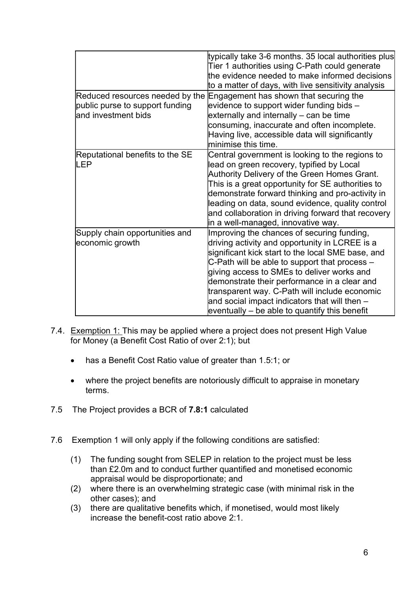| Reduced resources needed by the<br>public purse to support funding<br>and investment bids | typically take 3-6 months. 35 local authorities plus<br>Tier 1 authorities using C-Path could generate<br>the evidence needed to make informed decisions<br>to a matter of days, with live sensitivity analysis<br>Engagement has shown that securing the<br>evidence to support wider funding bids -<br>externally and internally – can be time                                                                                                      |
|-------------------------------------------------------------------------------------------|-------------------------------------------------------------------------------------------------------------------------------------------------------------------------------------------------------------------------------------------------------------------------------------------------------------------------------------------------------------------------------------------------------------------------------------------------------|
|                                                                                           | consuming, inaccurate and often incomplete.<br>Having live, accessible data will significantly<br>lminimise this time.                                                                                                                                                                                                                                                                                                                                |
| Reputational benefits to the SE<br>LEP                                                    | Central government is looking to the regions to<br>lead on green recovery, typified by Local<br>Authority Delivery of the Green Homes Grant.<br>This is a great opportunity for SE authorities to<br>demonstrate forward thinking and pro-activity in<br>leading on data, sound evidence, quality control<br>and collaboration in driving forward that recovery<br>in a well-managed, innovative way.                                                 |
| Supply chain opportunities and<br>economic growth                                         | Improving the chances of securing funding,<br>driving activity and opportunity in LCREE is a<br>significant kick start to the local SME base, and<br>C-Path will be able to support that process –<br>giving access to SMEs to deliver works and<br>demonstrate their performance in a clear and<br>transparent way. C-Path will include economic<br>and social impact indicators that will then $-$<br>eventually – be able to quantify this benefit |

- 7.4. Exemption 1: This may be applied where a project does not present High Value for Money (a Benefit Cost Ratio of over 2:1); but
	- has a Benefit Cost Ratio value of greater than 1.5:1; or
	- where the project benefits are notoriously difficult to appraise in monetary terms.
- 7.5 The Project provides a BCR of 7.8:1 calculated
- 7.6 Exemption 1 will only apply if the following conditions are satisfied:
	- (1) The funding sought from SELEP in relation to the project must be less than £2.0m and to conduct further quantified and monetised economic appraisal would be disproportionate; and
	- (2) where there is an overwhelming strategic case (with minimal risk in the other cases); and
	- (3) there are qualitative benefits which, if monetised, would most likely increase the benefit-cost ratio above 2:1.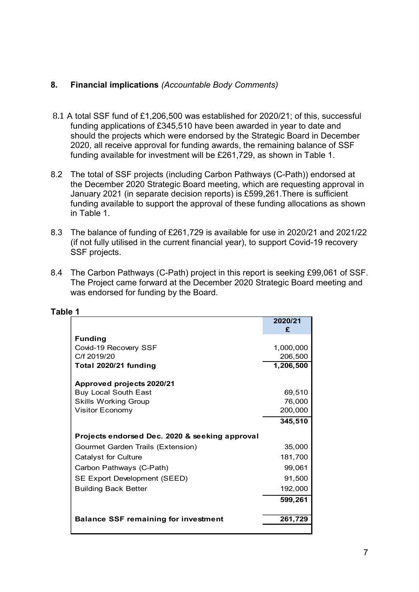### 8. Financial implications (Accountable Body Comments)

- 8.1 A total SSF fund of £1,206,500 was established for 2020/21; of this, successful funding applications of £345,510 have been awarded in year to date and should the projects which were endorsed by the Strategic Board in December 2020, all receive approval for funding awards, the remaining balance of SSF funding available for investment will be £261,729, as shown in Table 1.
- 8.2 The total of SSF projects (including Carbon Pathways (C-Path)) endorsed at the December 2020 Strategic Board meeting, which are requesting approval in January 2021 (in separate decision reports) is £599,261.There is sufficient funding available to support the approval of these funding allocations as shown in Table 1.
- 8.3 The balance of funding of £261,729 is available for use in 2020/21 and 2021/22 (if not fully utilised in the current financial year), to support Covid-19 recovery SSF projects.
- 8.4 The Carbon Pathways (C-Path) project in this report is seeking £99,061 of SSF. The Project came forward at the December 2020 Strategic Board meeting and was endorsed for funding by the Board.

| The total of SSF projects (including Carbon Pathways (C-Path)) endorsed at<br>the December 2020 Strategic Board meeting, which are requesting approval in<br>January 2021 (in separate decision reports) is £599,261. There is sufficient<br>funding available to support the approval of these funding allocations as shown<br>in Table 1. |              |   |
|---------------------------------------------------------------------------------------------------------------------------------------------------------------------------------------------------------------------------------------------------------------------------------------------------------------------------------------------|--------------|---|
| The balance of funding of £261,729 is available for use in 2020/21 and 2021/22<br>(if not fully utilised in the current financial year), to support Covid-19 recovery<br>SSF projects.                                                                                                                                                      |              |   |
| The Carbon Pathways (C-Path) project in this report is seeking £99,061 of SSF.<br>The Project came forward at the December 2020 Strategic Board meeting and<br>was endorsed for funding by the Board.                                                                                                                                       |              |   |
| e 1                                                                                                                                                                                                                                                                                                                                         |              |   |
|                                                                                                                                                                                                                                                                                                                                             | 2020/21<br>£ |   |
| <b>Funding</b>                                                                                                                                                                                                                                                                                                                              |              |   |
| Covid-19 Recovery SSF                                                                                                                                                                                                                                                                                                                       | 1,000,000    |   |
| C/f 2019/20                                                                                                                                                                                                                                                                                                                                 | 206,500      |   |
| Total 2020/21 funding                                                                                                                                                                                                                                                                                                                       | 1,206,500    |   |
| Approved projects 2020/21                                                                                                                                                                                                                                                                                                                   |              |   |
| <b>Buy Local South East</b>                                                                                                                                                                                                                                                                                                                 | 69,510       |   |
| <b>Skills Working Group</b>                                                                                                                                                                                                                                                                                                                 | 76,000       |   |
| Visitor Economy                                                                                                                                                                                                                                                                                                                             | 200,000      |   |
|                                                                                                                                                                                                                                                                                                                                             | 345,510      |   |
| Projects endorsed Dec. 2020 & seeking approval                                                                                                                                                                                                                                                                                              |              |   |
| Gourmet Garden Trails (Extension)                                                                                                                                                                                                                                                                                                           | 35,000       |   |
| <b>Catalyst for Culture</b>                                                                                                                                                                                                                                                                                                                 | 181,700      |   |
| Carbon Pathways (C-Path)                                                                                                                                                                                                                                                                                                                    | 99,061       |   |
| SE Export Development (SEED)                                                                                                                                                                                                                                                                                                                | 91,500       |   |
| <b>Building Back Better</b>                                                                                                                                                                                                                                                                                                                 | 192,000      |   |
|                                                                                                                                                                                                                                                                                                                                             | 599,261      |   |
|                                                                                                                                                                                                                                                                                                                                             |              |   |
| <b>Balance SSF remaining for investment</b>                                                                                                                                                                                                                                                                                                 | 261,729      |   |
|                                                                                                                                                                                                                                                                                                                                             |              |   |
|                                                                                                                                                                                                                                                                                                                                             |              | 7 |
|                                                                                                                                                                                                                                                                                                                                             |              |   |

#### Table 1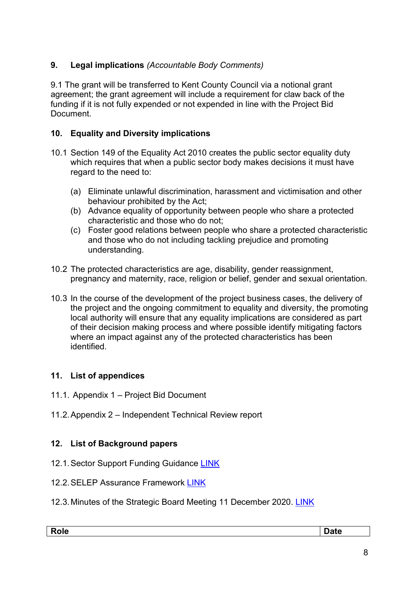# 9. Legal implications (Accountable Body Comments)

9.1 The grant will be transferred to Kent County Council via a notional grant agreement; the grant agreement will include a requirement for claw back of the funding if it is not fully expended or not expended in line with the Project Bid Document.

## 10. Equality and Diversity implications

- 10.1 Section 149 of the Equality Act 2010 creates the public sector equality duty which requires that when a public sector body makes decisions it must have regard to the need to:
	- (a) Eliminate unlawful discrimination, harassment and victimisation and other behaviour prohibited by the Act;
	- (b) Advance equality of opportunity between people who share a protected characteristic and those who do not;
	- (c) Foster good relations between people who share a protected characteristic and those who do not including tackling prejudice and promoting understanding.
- 10.2 The protected characteristics are age, disability, gender reassignment, pregnancy and maternity, race, religion or belief, gender and sexual orientation.
- 10.3 In the course of the development of the project business cases, the delivery of the project and the ongoing commitment to equality and diversity, the promoting local authority will ensure that any equality implications are considered as part of their decision making process and where possible identify mitigating factors where an impact against any of the protected characteristics has been identified.

# 11. List of appendices

- 11.1. Appendix 1 Project Bid Document
- 11.2. Appendix 2 Independent Technical Review report

## 12. List of Background papers

- 12.1. Sector Support Funding Guidance LINK
- 12.2. SELEP Assurance Framework LINK
- 12.3. Minutes of the Strategic Board Meeting 11 December 2020. LINK